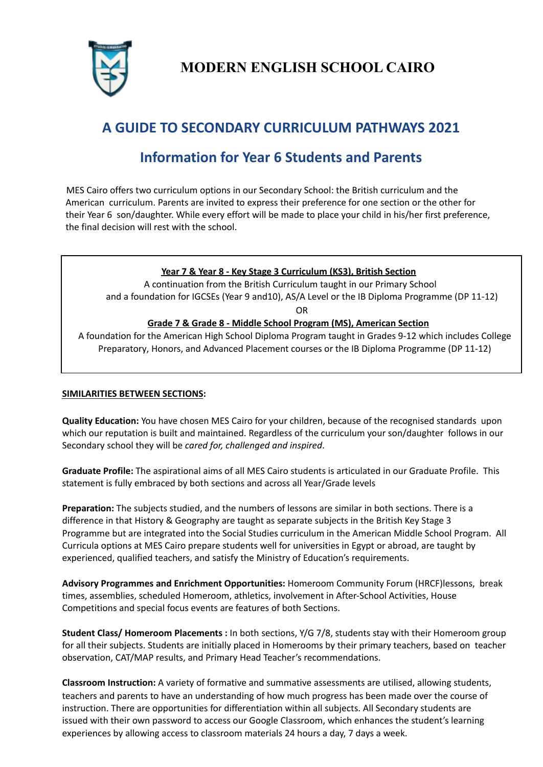

**MODERN ENGLISH SCHOOL CAIRO**

# **A GUIDE TO SECONDARY CURRICULUM PATHWAYS 2021**

# **Information for Year 6 Students and Parents**

MES Cairo offers two curriculum options in our Secondary School: the British curriculum and the American curriculum. Parents are invited to express their preference for one section or the other for their Year 6 son/daughter. While every effort will be made to place your child in his/her first preference, the final decision will rest with the school.

# **Year 7 & Year 8 - Key Stage 3 Curriculum (KS3), British Section**

A continuation from the British Curriculum taught in our Primary School and a foundation for IGCSEs (Year 9 and10), AS/A Level or the IB Diploma Programme (DP 11-12)

OR

# **Grade 7 & Grade 8 - Middle School Program (MS), American Section**

A foundation for the American High School Diploma Program taught in Grades 9-12 which includes College Preparatory, Honors, and Advanced Placement courses or the IB Diploma Programme (DP 11-12)

# **SIMILARITIES BETWEEN SECTIONS:**

**Quality Education:** You have chosen MES Cairo for your children, because of the recognised standards upon which our reputation is built and maintained. Regardless of the curriculum your son/daughter follows in our Secondary school they will be *cared for, challenged and inspired*.

**Graduate Profile:** The aspirational aims of all MES Cairo students is articulated in our Graduate Profile. This statement is fully embraced by both sections and across all Year/Grade levels

**Preparation:** The subjects studied, and the numbers of lessons are similar in both sections. There is a difference in that History & Geography are taught as separate subjects in the British Key Stage 3 Programme but are integrated into the Social Studies curriculum in the American Middle School Program. All Curricula options at MES Cairo prepare students well for universities in Egypt or abroad, are taught by experienced, qualified teachers, and satisfy the Ministry of Education's requirements.

**Advisory Programmes and Enrichment Opportunities:** Homeroom Community Forum (HRCF)lessons, break times, assemblies, scheduled Homeroom, athletics, involvement in After-School Activities, House Competitions and special focus events are features of both Sections.

**Student Class/ Homeroom Placements :** In both sections, Y/G 7/8, students stay with their Homeroom group for all their subjects. Students are initially placed in Homerooms by their primary teachers, based on teacher observation, CAT/MAP results, and Primary Head Teacher's recommendations.

**Classroom Instruction:** A variety of formative and summative assessments are utilised, allowing students, teachers and parents to have an understanding of how much progress has been made over the course of instruction. There are opportunities for differentiation within all subjects. All Secondary students are issued with their own password to access our Google Classroom, which enhances the student's learning experiences by allowing access to classroom materials 24 hours a day, 7 days a week.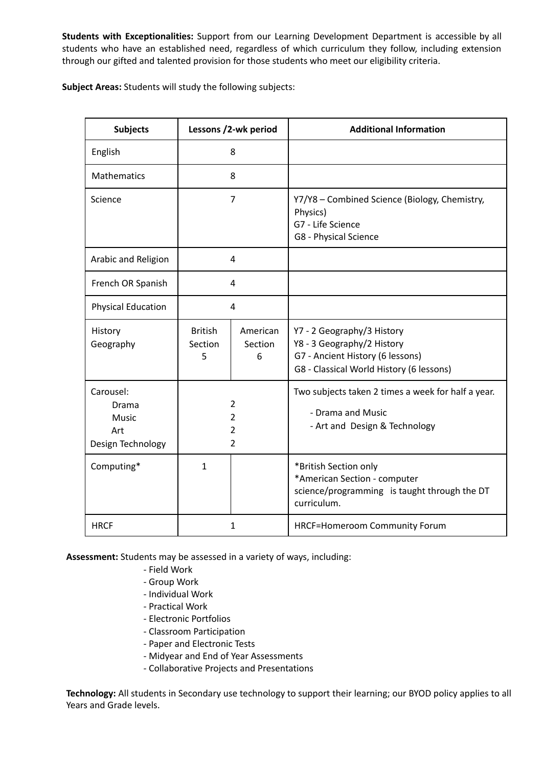**Students with Exceptionalities:** Support from our Learning Development Department is accessible by all students who have an established need, regardless of which curriculum they follow, including extension through our gifted and talented provision for those students who meet our eligibility criteria.

**Subject Areas:** Students will study the following subjects:

| <b>Subjects</b>                                         | Lessons /2-wk period                                                 |                          | <b>Additional Information</b>                                                                                                            |
|---------------------------------------------------------|----------------------------------------------------------------------|--------------------------|------------------------------------------------------------------------------------------------------------------------------------------|
| English                                                 | 8                                                                    |                          |                                                                                                                                          |
| Mathematics                                             | 8                                                                    |                          |                                                                                                                                          |
| Science                                                 | $\overline{7}$                                                       |                          | Y7/Y8 - Combined Science (Biology, Chemistry,<br>Physics)<br>G7 - Life Science<br>G8 - Physical Science                                  |
| Arabic and Religion                                     | 4                                                                    |                          |                                                                                                                                          |
| French OR Spanish                                       | $\overline{4}$                                                       |                          |                                                                                                                                          |
| <b>Physical Education</b>                               | 4                                                                    |                          |                                                                                                                                          |
| History<br>Geography                                    | <b>British</b><br>Section<br>5                                       | American<br>Section<br>6 | Y7 - 2 Geography/3 History<br>Y8 - 3 Geography/2 History<br>G7 - Ancient History (6 lessons)<br>G8 - Classical World History (6 lessons) |
| Carousel:<br>Drama<br>Music<br>Art<br>Design Technology | $\overline{2}$<br>$\overline{2}$<br>$\overline{2}$<br>$\overline{2}$ |                          | Two subjects taken 2 times a week for half a year.<br>- Drama and Music<br>- Art and Design & Technology                                 |
| Computing*                                              | $\mathbf{1}$                                                         |                          | *British Section only<br>*American Section - computer<br>science/programming is taught through the DT<br>curriculum.                     |
| <b>HRCF</b>                                             | 1                                                                    |                          | <b>HRCF=Homeroom Community Forum</b>                                                                                                     |

**Assessment:** Students may be assessed in a variety of ways, including:

- Field Work
- Group Work
- Individual Work
- Practical Work
- Electronic Portfolios
- Classroom Participation
- Paper and Electronic Tests
- Midyear and End of Year Assessments
- Collaborative Projects and Presentations

**Technology:** All students in Secondary use technology to support their learning; our BYOD policy applies to all Years and Grade levels.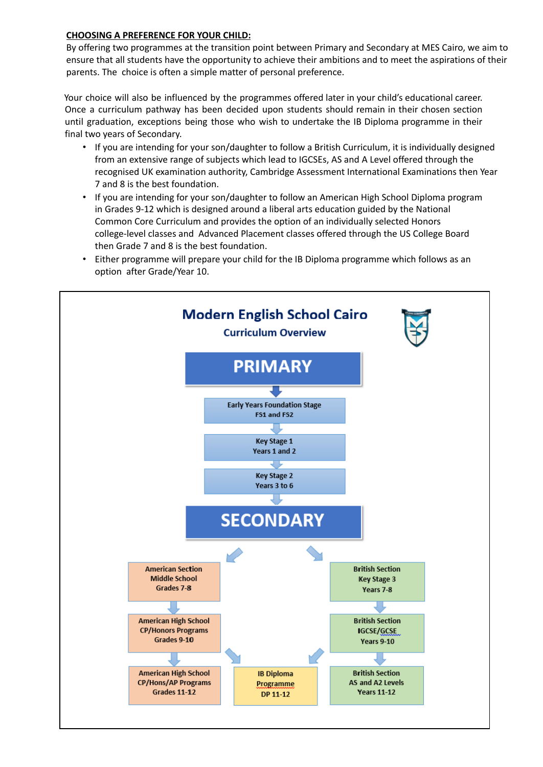# **CHOOSING A PREFERENCE FOR YOUR CHILD:**

By offering two programmes at the transition point between Primary and Secondary at MES Cairo, we aim to ensure that all students have the opportunity to achieve their ambitions and to meet the aspirations of their parents. The choice is often a simple matter of personal preference.

Your choice will also be influenced by the programmes offered later in your child's educational career. Once a curriculum pathway has been decided upon students should remain in their chosen section until graduation, exceptions being those who wish to undertake the IB Diploma programme in their final two years of Secondary.

- If you are intending for your son/daughter to follow a British Curriculum, it is individually designed from an extensive range of subjects which lead to IGCSEs, AS and A Level offered through the recognised UK examination authority, Cambridge Assessment International Examinations then Year 7 and 8 is the best foundation.
- If you are intending for your son/daughter to follow an American High School Diploma program in Grades 9-12 which is designed around a liberal arts education guided by the National Common Core Curriculum and provides the option of an individually selected Honors college-level classes and Advanced Placement classes offered through the US College Board then Grade 7 and 8 is the best foundation.
- Either programme will prepare your child for the IB Diploma programme which follows as an option after Grade/Year 10.

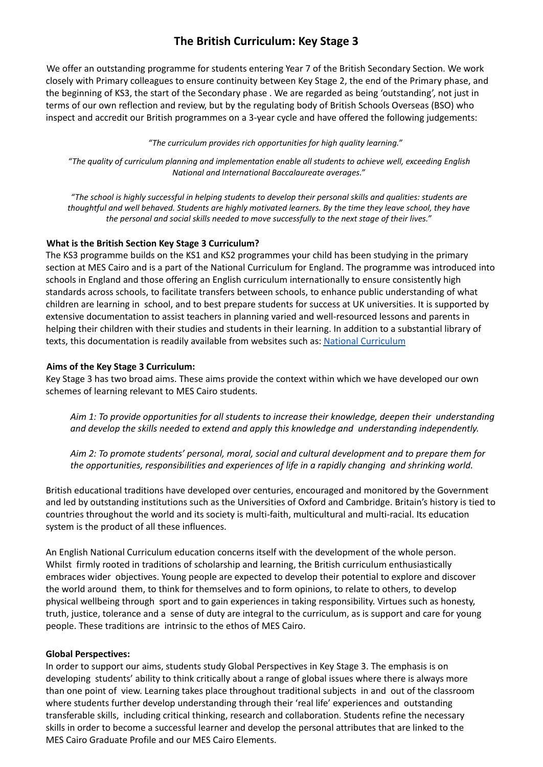# **The British Curriculum: Key Stage 3**

We offer an outstanding programme for students entering Year 7 of the British Secondary Section. We work closely with Primary colleagues to ensure continuity between Key Stage 2, the end of the Primary phase, and the beginning of KS3, the start of the Secondary phase . We are regarded as being 'outstanding', not just in terms of our own reflection and review, but by the regulating body of British Schools Overseas (BSO) who inspect and accredit our British programmes on a 3-year cycle and have offered the following judgements:

*"The curriculum provides rich opportunities for high quality learning."*

*"The quality of curriculum planning and implementation enable all students to achieve well, exceeding English National and International Baccalaureate averages."*

"The school is highly successful in helping students to develop their personal skills and qualities: students are thoughtful and well behaved. Students are highly motivated learners. By the time they leave school, they have *the personal and social skills needed to move successfully to the next stage of their lives."*

# **What is the British Section Key Stage 3 Curriculum?**

The KS3 programme builds on the KS1 and KS2 programmes your child has been studying in the primary section at MES Cairo and is a part of the National Curriculum for England. The programme was introduced into schools in England and those offering an English curriculum internationally to ensure consistently high standards across schools, to facilitate transfers between schools, to enhance public understanding of what children are learning in school, and to best prepare students for success at UK universities. It is supported by extensive documentation to assist teachers in planning varied and well-resourced lessons and parents in helping their children with their studies and students in their learning. In addition to a substantial library of texts, this documentation is readily available from websites such as: National [Curriculum](https://www.gov.uk/government/collections/national-curriculum)

# **Aims of the Key Stage 3 Curriculum:**

Key Stage 3 has two broad aims. These aims provide the context within which we have developed our own schemes of learning relevant to MES Cairo students.

*Aim 1: To provide opportunities for all students to increase their knowledge, deepen their understanding and develop the skills needed to extend and apply this knowledge and understanding independently.*

*Aim 2: To promote students' personal, moral, social and cultural development and to prepare them for the opportunities, responsibilities and experiences of life in a rapidly changing and shrinking world.*

British educational traditions have developed over centuries, encouraged and monitored by the Government and led by outstanding institutions such as the Universities of Oxford and Cambridge. Britain's history is tied to countries throughout the world and its society is multi-faith, multicultural and multi-racial. Its education system is the product of all these influences.

An English National Curriculum education concerns itself with the development of the whole person. Whilst firmly rooted in traditions of scholarship and learning, the British curriculum enthusiastically embraces wider objectives. Young people are expected to develop their potential to explore and discover the world around them, to think for themselves and to form opinions, to relate to others, to develop physical wellbeing through sport and to gain experiences in taking responsibility. Virtues such as honesty, truth, justice, tolerance and a sense of duty are integral to the curriculum, as is support and care for young people. These traditions are intrinsic to the ethos of MES Cairo.

#### **Global Perspectives:**

In order to support our aims, students study Global Perspectives in Key Stage 3. The emphasis is on developing students' ability to think critically about a range of global issues where there is always more than one point of view. Learning takes place throughout traditional subjects in and out of the classroom where students further develop understanding through their 'real life' experiences and outstanding transferable skills, including critical thinking, research and collaboration. Students refine the necessary skills in order to become a successful learner and develop the personal attributes that are linked to the MES Cairo Graduate Profile and our MES Cairo Elements.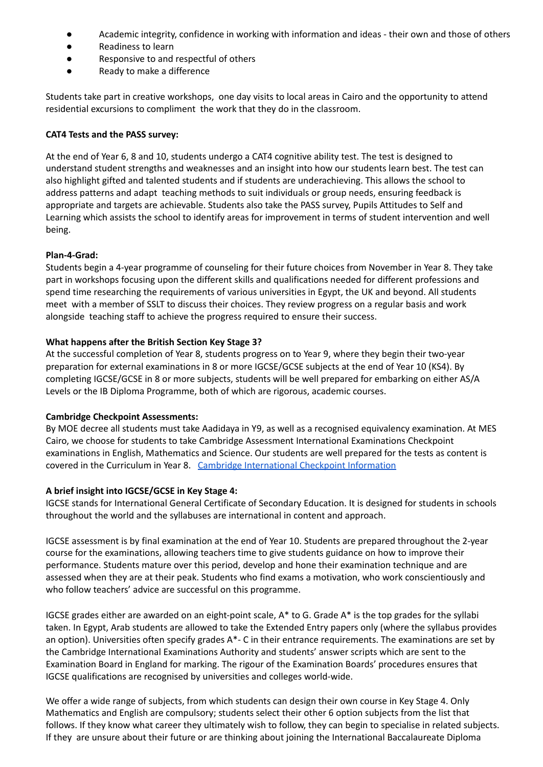- Academic integrity, confidence in working with information and ideas their own and those of others
- Readiness to learn
- Responsive to and respectful of others
- Ready to make a difference

Students take part in creative workshops, one day visits to local areas in Cairo and the opportunity to attend residential excursions to compliment the work that they do in the classroom.

#### **CAT4 Tests and the PASS survey:**

At the end of Year 6, 8 and 10, students undergo a CAT4 cognitive ability test. The test is designed to understand student strengths and weaknesses and an insight into how our students learn best. The test can also highlight gifted and talented students and if students are underachieving. This allows the school to address patterns and adapt teaching methods to suit individuals or group needs, ensuring feedback is appropriate and targets are achievable. Students also take the PASS survey, Pupils Attitudes to Self and Learning which assists the school to identify areas for improvement in terms of student intervention and well being.

# **Plan-4-Grad:**

Students begin a 4-year programme of counseling for their future choices from November in Year 8. They take part in workshops focusing upon the different skills and qualifications needed for different professions and spend time researching the requirements of various universities in Egypt, the UK and beyond. All students meet with a member of SSLT to discuss their choices. They review progress on a regular basis and work alongside teaching staff to achieve the progress required to ensure their success.

# **What happens after the British Section Key Stage 3?**

At the successful completion of Year 8, students progress on to Year 9, where they begin their two-year preparation for external examinations in 8 or more IGCSE/GCSE subjects at the end of Year 10 (KS4). By completing IGCSE/GCSE in 8 or more subjects, students will be well prepared for embarking on either AS/A Levels or the IB Diploma Programme, both of which are rigorous, academic courses.

# **Cambridge Checkpoint Assessments:**

By MOE decree all students must take Aadidaya in Y9, as well as a recognised equivalency examination. At MES Cairo, we choose for students to take Cambridge Assessment International Examinations Checkpoint examinations in English, Mathematics and Science. Our students are well prepared for the tests as content is covered in the Curriculum in Year 8. Cambridge [International](https://www.cambridgeinternational.org/programmes-and-qualifications/cambridge-lower-secondary/assessment/cambridge-checkpoint/) Checkpoint Information

# **A brief insight into IGCSE/GCSE in Key Stage 4:**

IGCSE stands for International General Certificate of Secondary Education. It is designed for students in schools throughout the world and the syllabuses are international in content and approach.

IGCSE assessment is by final examination at the end of Year 10. Students are prepared throughout the 2-year course for the examinations, allowing teachers time to give students guidance on how to improve their performance. Students mature over this period, develop and hone their examination technique and are assessed when they are at their peak. Students who find exams a motivation, who work conscientiously and who follow teachers' advice are successful on this programme.

IGCSE grades either are awarded on an eight-point scale,  $A^*$  to G. Grade  $A^*$  is the top grades for the syllabi taken. In Egypt, Arab students are allowed to take the Extended Entry papers only (where the syllabus provides an option). Universities often specify grades A\*- C in their entrance requirements. The examinations are set by the Cambridge International Examinations Authority and students' answer scripts which are sent to the Examination Board in England for marking. The rigour of the Examination Boards' procedures ensures that IGCSE qualifications are recognised by universities and colleges world-wide.

We offer a wide range of subjects, from which students can design their own course in Key Stage 4. Only Mathematics and English are compulsory; students select their other 6 option subjects from the list that follows. If they know what career they ultimately wish to follow, they can begin to specialise in related subjects. If they are unsure about their future or are thinking about joining the International Baccalaureate Diploma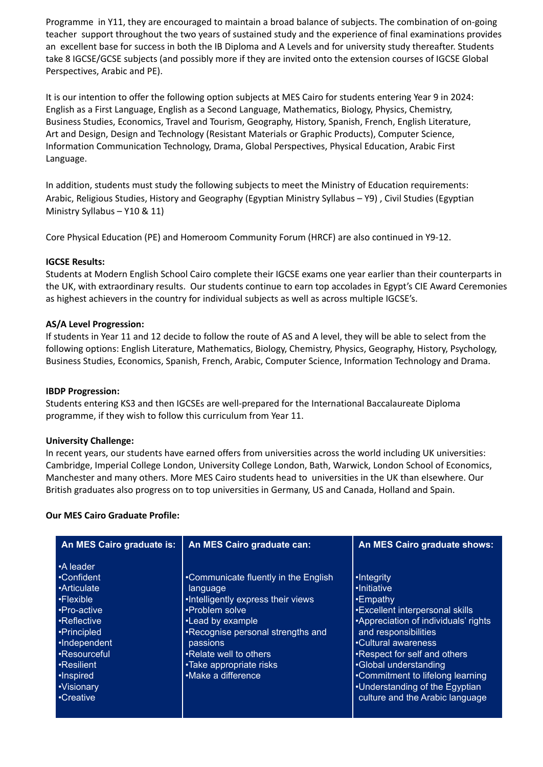Programme in Y11, they are encouraged to maintain a broad balance of subjects. The combination of on-going teacher support throughout the two years of sustained study and the experience of final examinations provides an excellent base for success in both the IB Diploma and A Levels and for university study thereafter. Students take 8 IGCSE/GCSE subjects (and possibly more if they are invited onto the extension courses of IGCSE Global Perspectives, Arabic and PE).

It is our intention to offer the following option subjects at MES Cairo for students entering Year 9 in 2024: English as a First Language, English as a Second Language, Mathematics, Biology, Physics, Chemistry, Business Studies, Economics, Travel and Tourism, Geography, History, Spanish, French, English Literature, Art and Design, Design and Technology (Resistant Materials or Graphic Products), Computer Science, Information Communication Technology, Drama, Global Perspectives, Physical Education, Arabic First Language.

In addition, students must study the following subjects to meet the Ministry of Education requirements: Arabic, Religious Studies, History and Geography (Egyptian Ministry Syllabus – Y9) , Civil Studies (Egyptian Ministry Syllabus – Y10 & 11)

Core Physical Education (PE) and Homeroom Community Forum (HRCF) are also continued in Y9-12.

#### **IGCSE Results:**

Students at Modern English School Cairo complete their IGCSE exams one year earlier than their counterparts in the UK, with extraordinary results. Our students continue to earn top accolades in Egypt's CIE Award Ceremonies as highest achievers in the country for individual subjects as well as across multiple IGCSE's.

#### **AS/A Level Progression:**

If students in Year 11 and 12 decide to follow the route of AS and A level, they will be able to select from the following options: English Literature, Mathematics, Biology, Chemistry, Physics, Geography, History, Psychology, Business Studies, Economics, Spanish, French, Arabic, Computer Science, Information Technology and Drama.

#### **IBDP Progression:**

Students entering KS3 and then IGCSEs are well-prepared for the International Baccalaureate Diploma programme, if they wish to follow this curriculum from Year 11.

#### **University Challenge:**

In recent years, our students have earned offers from universities across the world including UK universities: Cambridge, Imperial College London, University College London, Bath, Warwick, London School of Economics, Manchester and many others. More MES Cairo students head to universities in the UK than elsewhere. Our British graduates also progress on to top universities in Germany, US and Canada, Holland and Spain.

#### **Our MES Cairo Graduate Profile:**

| An MES Cairo graduate is:                                                                                                                                                                     | An MES Cairo graduate can:                                                                                                                                                                                                                                | An MES Cairo graduate shows:                                                                                                                                                                                                                                                                                                             |
|-----------------------------------------------------------------------------------------------------------------------------------------------------------------------------------------------|-----------------------------------------------------------------------------------------------------------------------------------------------------------------------------------------------------------------------------------------------------------|------------------------------------------------------------------------------------------------------------------------------------------------------------------------------------------------------------------------------------------------------------------------------------------------------------------------------------------|
| •A leader<br>•Confident<br>•Articulate<br>$\cdot$ Flexible<br>•Pro-active<br>•Reflective<br>•Principled<br>•Independent<br>•Resourceful<br>•Resilient<br>•Inspired<br>·Visionary<br>•Creative | •Communicate fluently in the English<br>language<br>•Intelligently express their views<br>•Problem solve<br>•Lead by example<br>•Recognise personal strengths and<br>passions<br>•Relate well to others<br>•Take appropriate risks<br>• Make a difference | •Integrity<br>•Initiative<br>$\cdot$ Empathy<br>•Excellent interpersonal skills<br>•Appreciation of individuals' rights<br>and responsibilities<br>•Cultural awareness<br>•Respect for self and others<br>•Global understanding<br>•Commitment to lifelong learning<br>•Understanding of the Egyptian<br>culture and the Arabic language |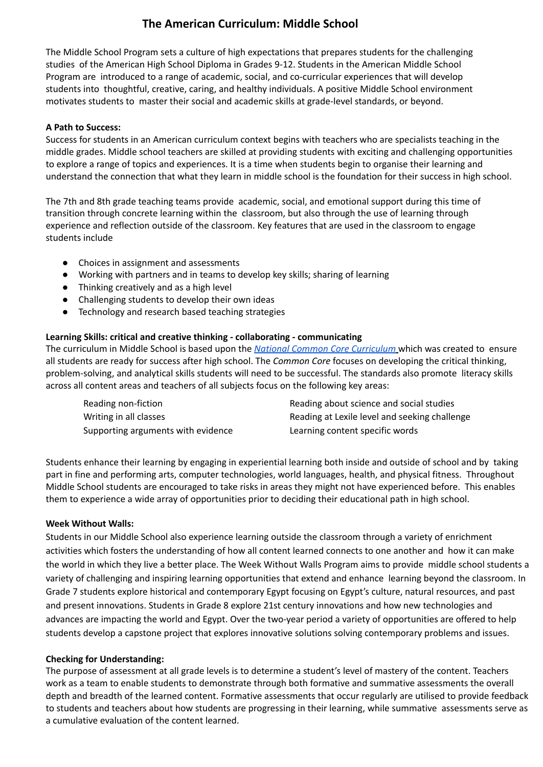# **The American Curriculum: Middle School**

The Middle School Program sets a culture of high expectations that prepares students for the challenging studies of the American High School Diploma in Grades 9-12. Students in the American Middle School Program are introduced to a range of academic, social, and co-curricular experiences that will develop students into thoughtful, creative, caring, and healthy individuals. A positive Middle School environment motivates students to master their social and academic skills at grade-level standards, or beyond.

#### **A Path to Success:**

Success for students in an American curriculum context begins with teachers who are specialists teaching in the middle grades. Middle school teachers are skilled at providing students with exciting and challenging opportunities to explore a range of topics and experiences. It is a time when students begin to organise their learning and understand the connection that what they learn in middle school is the foundation for their success in high school.

The 7th and 8th grade teaching teams provide academic, social, and emotional support during this time of transition through concrete learning within the classroom, but also through the use of learning through experience and reflection outside of the classroom. Key features that are used in the classroom to engage students include

- Choices in assignment and assessments
- Working with partners and in teams to develop key skills; sharing of learning
- Thinking creatively and as a high level
- Challenging students to develop their own ideas
- Technology and research based teaching strategies

#### **Learning Skills: critical and creative thinking - collaborating - communicating**

The curriculum in Middle School is based upon the *National Common Core [Curriculum](http://www.corestandards.org/about-the-standards/#:~:text=The%20Common%20Core%20is%20a,the%20end%20of%20each%20grade.)* which was created to ensure all students are ready for success after high school. The *Common Core* focuses on developing the critical thinking, problem-solving, and analytical skills students will need to be successful. The standards also promote literacy skills across all content areas and teachers of all subjects focus on the following key areas:

| Reading non-fiction                | Reading about science and social studies      |
|------------------------------------|-----------------------------------------------|
| Writing in all classes             | Reading at Lexile level and seeking challenge |
| Supporting arguments with evidence | Learning content specific words               |

Students enhance their learning by engaging in experiential learning both inside and outside of school and by taking part in fine and performing arts, computer technologies, world languages, health, and physical fitness. Throughout Middle School students are encouraged to take risks in areas they might not have experienced before. This enables them to experience a wide array of opportunities prior to deciding their educational path in high school.

#### **Week Without Walls:**

Students in our Middle School also experience learning outside the classroom through a variety of enrichment activities which fosters the understanding of how all content learned connects to one another and how it can make the world in which they live a better place. The Week Without Walls Program aims to provide middle school students a variety of challenging and inspiring learning opportunities that extend and enhance learning beyond the classroom. In Grade 7 students explore historical and contemporary Egypt focusing on Egypt's culture, natural resources, and past and present innovations. Students in Grade 8 explore 21st century innovations and how new technologies and advances are impacting the world and Egypt. Over the two-year period a variety of opportunities are offered to help students develop a capstone project that explores innovative solutions solving contemporary problems and issues.

#### **Checking for Understanding:**

The purpose of assessment at all grade levels is to determine a student's level of mastery of the content. Teachers work as a team to enable students to demonstrate through both formative and summative assessments the overall depth and breadth of the learned content. Formative assessments that occur regularly are utilised to provide feedback to students and teachers about how students are progressing in their learning, while summative assessments serve as a cumulative evaluation of the content learned.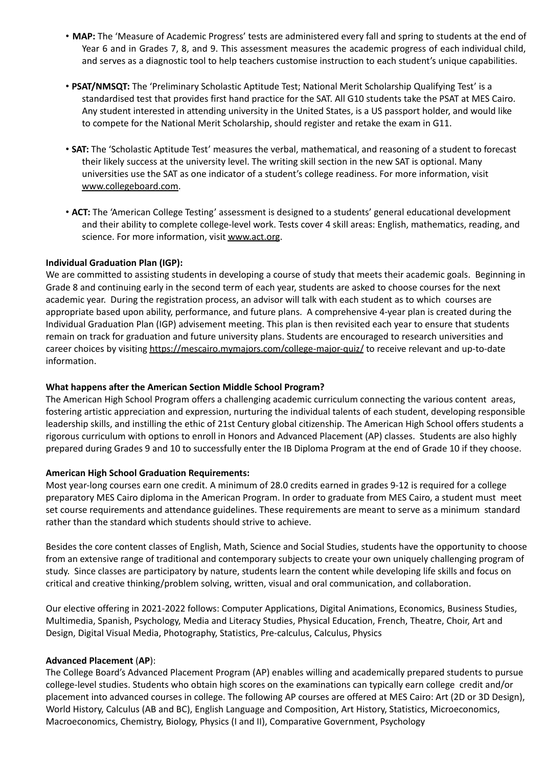- **MAP:** The 'Measure of Academic Progress' tests are administered every fall and spring to students at the end of Year 6 and in Grades 7, 8, and 9. This assessment measures the academic progress of each individual child, and serves as a diagnostic tool to help teachers customise instruction to each student's unique capabilities.
- **PSAT/NMSQT:** The 'Preliminary Scholastic Aptitude Test; National Merit Scholarship Qualifying Test' is a standardised test that provides first hand practice for the SAT. All G10 students take the PSAT at MES Cairo. Any student interested in attending university in the United States, is a US passport holder, and would like to compete for the National Merit Scholarship, should register and retake the exam in G11.
- **SAT:** The 'Scholastic Aptitude Test' measures the verbal, mathematical, and reasoning of a student to forecast their likely success at the university level. The writing skill section in the new SAT is optional. Many universities use the SAT as one indicator of a student's college readiness. For more information, visit www.collegeboard.com.
- **ACT:** The 'American College Testing' assessment is designed to a students' general educational development and their ability to complete college-level work. Tests cover 4 skill areas: English, mathematics, reading, and science. For more information, visit www.act.org.

# **Individual Graduation Plan (IGP):**

We are committed to assisting students in developing a course of study that meets their academic goals. Beginning in Grade 8 and continuing early in the second term of each year, students are asked to choose courses for the next academic year. During the registration process, an advisor will talk with each student as to which courses are appropriate based upon ability, performance, and future plans. A comprehensive 4-year plan is created during the Individual Graduation Plan (IGP) advisement meeting. This plan is then revisited each year to ensure that students remain on track for graduation and future university plans. Students are encouraged to research universities and career choices by visiting https://mescairo.mymajors.com/college-major-quiz/ to receive relevant and up-to-date information.

#### **What happens after the American Section Middle School Program?**

The American High School Program offers a challenging academic curriculum connecting the various content areas, fostering artistic appreciation and expression, nurturing the individual talents of each student, developing responsible leadership skills, and instilling the ethic of 21st Century global citizenship. The American High School offers students a rigorous curriculum with options to enroll in Honors and Advanced Placement (AP) classes. Students are also highly prepared during Grades 9 and 10 to successfully enter the IB Diploma Program at the end of Grade 10 if they choose.

#### **American High School Graduation Requirements:**

Most year-long courses earn one credit. A minimum of 28.0 credits earned in grades 9-12 is required for a college preparatory MES Cairo diploma in the American Program. In order to graduate from MES Cairo, a student must meet set course requirements and attendance guidelines. These requirements are meant to serve as a minimum standard rather than the standard which students should strive to achieve.

Besides the core content classes of English, Math, Science and Social Studies, students have the opportunity to choose from an extensive range of traditional and contemporary subjects to create your own uniquely challenging program of study. Since classes are participatory by nature, students learn the content while developing life skills and focus on critical and creative thinking/problem solving, written, visual and oral communication, and collaboration.

Our elective offering in 2021-2022 follows: Computer Applications, Digital Animations, Economics, Business Studies, Multimedia, Spanish, Psychology, Media and Literacy Studies, Physical Education, French, Theatre, Choir, Art and Design, Digital Visual Media, Photography, Statistics, Pre-calculus, Calculus, Physics

#### **Advanced Placement** (**AP**):

The College Board's Advanced Placement Program (AP) enables willing and academically prepared students to pursue college-level studies. Students who obtain high scores on the examinations can typically earn college credit and/or placement into advanced courses in college. The following AP courses are offered at MES Cairo: Art (2D or 3D Design), World History, Calculus (AB and BC), English Language and Composition, Art History, Statistics, Microeconomics, Macroeconomics, Chemistry, Biology, Physics (I and II), Comparative Government, Psychology